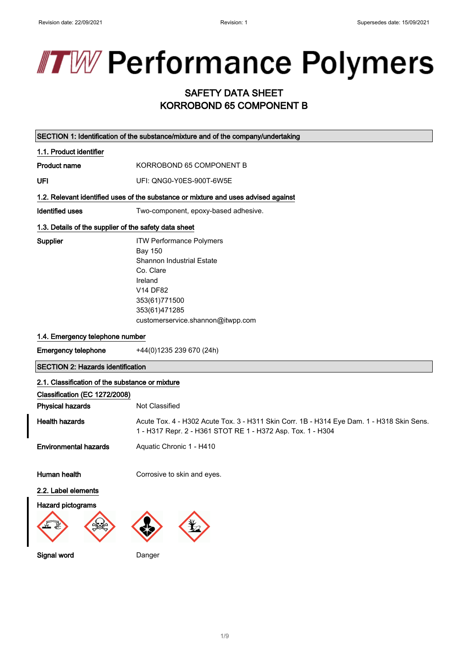# **TW Performance Polymers**

## SAFETY DATA SHEET KORROBOND 65 COMPONENT B

|                                                                                                             | SECTION 1: Identification of the substance/mixture and of the company/undertaking                                                                                                         |
|-------------------------------------------------------------------------------------------------------------|-------------------------------------------------------------------------------------------------------------------------------------------------------------------------------------------|
| 1.1. Product identifier                                                                                     |                                                                                                                                                                                           |
| Product name                                                                                                | KORROBOND 65 COMPONENT B                                                                                                                                                                  |
| UFI                                                                                                         | UFI: QNG0-Y0ES-900T-6W5E                                                                                                                                                                  |
|                                                                                                             | 1.2. Relevant identified uses of the substance or mixture and uses advised against                                                                                                        |
| <b>Identified uses</b>                                                                                      | Two-component, epoxy-based adhesive.                                                                                                                                                      |
| 1.3. Details of the supplier of the safety data sheet                                                       |                                                                                                                                                                                           |
| Supplier                                                                                                    | <b>ITW Performance Polymers</b><br><b>Bay 150</b><br>Shannon Industrial Estate<br>Co. Clare<br>Ireland<br>V14 DF82<br>353(61)771500<br>353(61)471285<br>customerservice.shannon@itwpp.com |
| 1.4. Emergency telephone number                                                                             |                                                                                                                                                                                           |
| <b>Emergency telephone</b>                                                                                  | +44(0)1235 239 670 (24h)                                                                                                                                                                  |
| <b>SECTION 2: Hazards identification</b>                                                                    |                                                                                                                                                                                           |
| 2.1. Classification of the substance or mixture<br>Classification (EC 1272/2008)<br><b>Physical hazards</b> | Not Classified                                                                                                                                                                            |
| <b>Health hazards</b>                                                                                       | Acute Tox. 4 - H302 Acute Tox. 3 - H311 Skin Corr. 1B - H314 Eye Dam. 1 - H318 Skin Sens.<br>1 - H317 Repr. 2 - H361 STOT RE 1 - H372 Asp. Tox. 1 - H304                                  |
| <b>Environmental hazards</b>                                                                                | Aquatic Chronic 1 - H410                                                                                                                                                                  |
| Human health                                                                                                | Corrosive to skin and eyes.                                                                                                                                                               |
| 2.2. Label elements                                                                                         |                                                                                                                                                                                           |
| <b>Hazard pictograms</b>                                                                                    |                                                                                                                                                                                           |

Signal word Danger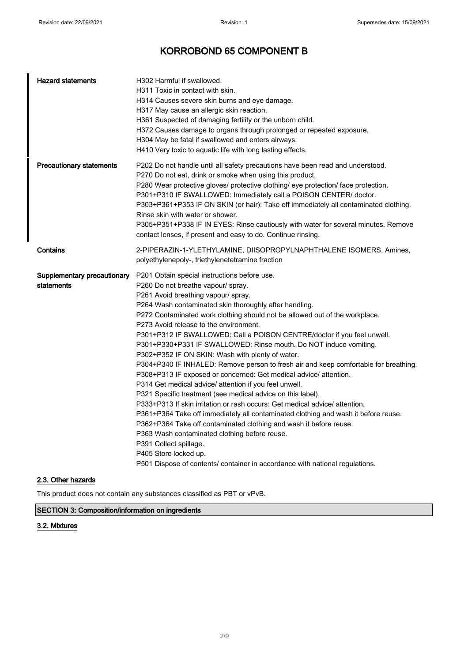| <b>Hazard statements</b>                  | H302 Harmful if swallowed.<br>H311 Toxic in contact with skin.<br>H314 Causes severe skin burns and eye damage.<br>H317 May cause an allergic skin reaction.<br>H361 Suspected of damaging fertility or the unborn child.<br>H372 Causes damage to organs through prolonged or repeated exposure.<br>H304 May be fatal if swallowed and enters airways.<br>H410 Very toxic to aquatic life with long lasting effects.                                                                                                                                                                                                                                                                                                                                                                                                                                                                                                                                                                                                                                                                                                                                                                                                                 |
|-------------------------------------------|---------------------------------------------------------------------------------------------------------------------------------------------------------------------------------------------------------------------------------------------------------------------------------------------------------------------------------------------------------------------------------------------------------------------------------------------------------------------------------------------------------------------------------------------------------------------------------------------------------------------------------------------------------------------------------------------------------------------------------------------------------------------------------------------------------------------------------------------------------------------------------------------------------------------------------------------------------------------------------------------------------------------------------------------------------------------------------------------------------------------------------------------------------------------------------------------------------------------------------------|
| <b>Precautionary statements</b>           | P202 Do not handle until all safety precautions have been read and understood.<br>P270 Do not eat, drink or smoke when using this product.<br>P280 Wear protective gloves/ protective clothing/ eye protection/ face protection.<br>P301+P310 IF SWALLOWED: Immediately call a POISON CENTER/ doctor.<br>P303+P361+P353 IF ON SKIN (or hair): Take off immediately all contaminated clothing.<br>Rinse skin with water or shower.<br>P305+P351+P338 IF IN EYES: Rinse cautiously with water for several minutes. Remove<br>contact lenses, if present and easy to do. Continue rinsing.                                                                                                                                                                                                                                                                                                                                                                                                                                                                                                                                                                                                                                               |
| Contains                                  | 2-PIPERAZIN-1-YLETHYLAMINE, DIISOPROPYLNAPHTHALENE ISOMERS, Amines,<br>polyethylenepoly-, triethylenetetramine fraction                                                                                                                                                                                                                                                                                                                                                                                                                                                                                                                                                                                                                                                                                                                                                                                                                                                                                                                                                                                                                                                                                                               |
| Supplementary precautionary<br>statements | P201 Obtain special instructions before use.<br>P260 Do not breathe vapour/ spray.<br>P261 Avoid breathing vapour/ spray.<br>P264 Wash contaminated skin thoroughly after handling.<br>P272 Contaminated work clothing should not be allowed out of the workplace.<br>P273 Avoid release to the environment.<br>P301+P312 IF SWALLOWED: Call a POISON CENTRE/doctor if you feel unwell.<br>P301+P330+P331 IF SWALLOWED: Rinse mouth. Do NOT induce vomiting.<br>P302+P352 IF ON SKIN: Wash with plenty of water.<br>P304+P340 IF INHALED: Remove person to fresh air and keep comfortable for breathing.<br>P308+P313 IF exposed or concerned: Get medical advice/ attention.<br>P314 Get medical advice/ attention if you feel unwell.<br>P321 Specific treatment (see medical advice on this label).<br>P333+P313 If skin irritation or rash occurs: Get medical advice/ attention.<br>P361+P364 Take off immediately all contaminated clothing and wash it before reuse.<br>P362+P364 Take off contaminated clothing and wash it before reuse.<br>P363 Wash contaminated clothing before reuse.<br>P391 Collect spillage.<br>P405 Store locked up.<br>P501 Dispose of contents/ container in accordance with national regulations. |

#### 2.3. Other hazards

This product does not contain any substances classified as PBT or vPvB.

#### SECTION 3: Composition/information on ingredients

#### 3.2. Mixtures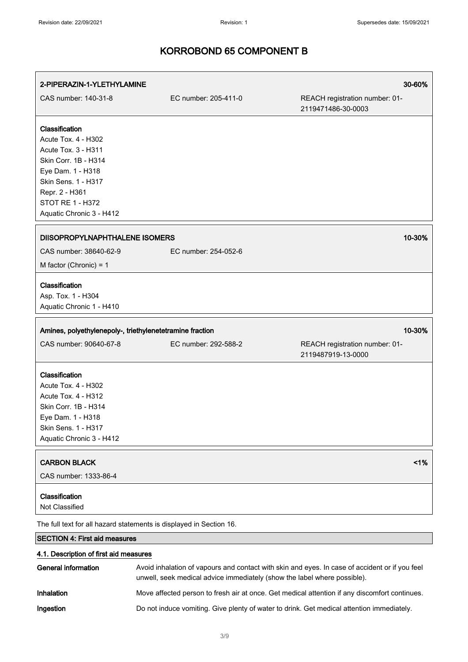| 2-PIPERAZIN-1-YLETHYLAMINE                                                                                                                                                                         |                                                                          | 30-60%                                                                                         |
|----------------------------------------------------------------------------------------------------------------------------------------------------------------------------------------------------|--------------------------------------------------------------------------|------------------------------------------------------------------------------------------------|
| CAS number: 140-31-8                                                                                                                                                                               | EC number: 205-411-0                                                     | REACH registration number: 01-<br>2119471486-30-0003                                           |
| Classification<br>Acute Tox. 4 - H302<br>Acute Tox. 3 - H311<br>Skin Corr. 1B - H314<br>Eye Dam. 1 - H318<br>Skin Sens. 1 - H317<br>Repr. 2 - H361<br>STOT RE 1 - H372<br>Aquatic Chronic 3 - H412 |                                                                          |                                                                                                |
| DIISOPROPYLNAPHTHALENE ISOMERS                                                                                                                                                                     |                                                                          | 10-30%                                                                                         |
| CAS number: 38640-62-9                                                                                                                                                                             | EC number: 254-052-6                                                     |                                                                                                |
| M factor (Chronic) = $1$                                                                                                                                                                           |                                                                          |                                                                                                |
| Classification<br>Asp. Tox. 1 - H304<br>Aquatic Chronic 1 - H410                                                                                                                                   |                                                                          |                                                                                                |
| Amines, polyethylenepoly-, triethylenetetramine fraction                                                                                                                                           |                                                                          | 10-30%                                                                                         |
| CAS number: 90640-67-8                                                                                                                                                                             | EC number: 292-588-2                                                     | REACH registration number: 01-<br>2119487919-13-0000                                           |
| Classification<br>Acute Tox. 4 - H302<br>Acute Tox. 4 - H312<br>Skin Corr. 1B - H314<br>Eye Dam. 1 - H318<br>Skin Sens. 1 - H317<br>Aquatic Chronic 3 - H412                                       |                                                                          |                                                                                                |
| <b>CARBON BLACK</b><br>CAS number: 1333-86-4                                                                                                                                                       |                                                                          | 1%                                                                                             |
| Classification<br>Not Classified                                                                                                                                                                   |                                                                          |                                                                                                |
|                                                                                                                                                                                                    | The full text for all hazard statements is displayed in Section 16.      |                                                                                                |
| <b>SECTION 4: First aid measures</b>                                                                                                                                                               |                                                                          |                                                                                                |
| 4.1. Description of first aid measures                                                                                                                                                             |                                                                          |                                                                                                |
| <b>General information</b>                                                                                                                                                                         | unwell, seek medical advice immediately (show the label where possible). | Avoid inhalation of vapours and contact with skin and eyes. In case of accident or if you feel |
| Inhalation                                                                                                                                                                                         |                                                                          | Move affected person to fresh air at once. Get medical attention if any discomfort continues.  |

Ingestion Do not induce vomiting. Give plenty of water to drink. Get medical attention immediately.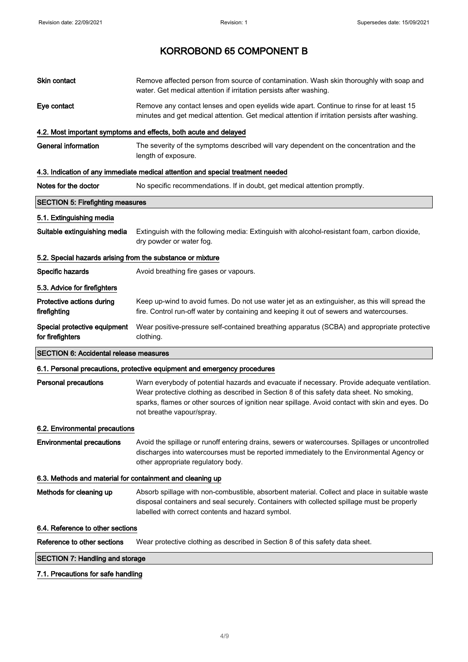| Skin contact                                               | Remove affected person from source of contamination. Wash skin thoroughly with soap and<br>water. Get medical attention if irritation persists after washing.                                                                                                                                                             |
|------------------------------------------------------------|---------------------------------------------------------------------------------------------------------------------------------------------------------------------------------------------------------------------------------------------------------------------------------------------------------------------------|
| Eye contact                                                | Remove any contact lenses and open eyelids wide apart. Continue to rinse for at least 15<br>minutes and get medical attention. Get medical attention if irritation persists after washing.                                                                                                                                |
|                                                            | 4.2. Most important symptoms and effects, both acute and delayed                                                                                                                                                                                                                                                          |
| <b>General information</b>                                 | The severity of the symptoms described will vary dependent on the concentration and the<br>length of exposure.                                                                                                                                                                                                            |
|                                                            | 4.3. Indication of any immediate medical attention and special treatment needed                                                                                                                                                                                                                                           |
| Notes for the doctor                                       | No specific recommendations. If in doubt, get medical attention promptly.                                                                                                                                                                                                                                                 |
| <b>SECTION 5: Firefighting measures</b>                    |                                                                                                                                                                                                                                                                                                                           |
| 5.1. Extinguishing media                                   |                                                                                                                                                                                                                                                                                                                           |
| Suitable extinguishing media                               | Extinguish with the following media: Extinguish with alcohol-resistant foam, carbon dioxide,<br>dry powder or water fog.                                                                                                                                                                                                  |
| 5.2. Special hazards arising from the substance or mixture |                                                                                                                                                                                                                                                                                                                           |
| Specific hazards                                           | Avoid breathing fire gases or vapours.                                                                                                                                                                                                                                                                                    |
| 5.3. Advice for firefighters                               |                                                                                                                                                                                                                                                                                                                           |
| Protective actions during<br>firefighting                  | Keep up-wind to avoid fumes. Do not use water jet as an extinguisher, as this will spread the<br>fire. Control run-off water by containing and keeping it out of sewers and watercourses.                                                                                                                                 |
| Special protective equipment<br>for firefighters           | Wear positive-pressure self-contained breathing apparatus (SCBA) and appropriate protective<br>clothing.                                                                                                                                                                                                                  |
| <b>SECTION 6: Accidental release measures</b>              |                                                                                                                                                                                                                                                                                                                           |
|                                                            | 6.1. Personal precautions, protective equipment and emergency procedures                                                                                                                                                                                                                                                  |
| <b>Personal precautions</b>                                | Warn everybody of potential hazards and evacuate if necessary. Provide adequate ventilation.<br>Wear protective clothing as described in Section 8 of this safety data sheet. No smoking,<br>sparks, flames or other sources of ignition near spillage. Avoid contact with skin and eyes. Do<br>not breathe vapour/spray. |
| 6.2. Environmental precautions                             |                                                                                                                                                                                                                                                                                                                           |
| <b>Environmental precautions</b>                           | Avoid the spillage or runoff entering drains, sewers or watercourses. Spillages or uncontrolled<br>discharges into watercourses must be reported immediately to the Environmental Agency or<br>other appropriate regulatory body.                                                                                         |
| 6.3. Methods and material for containment and cleaning up  |                                                                                                                                                                                                                                                                                                                           |
| Methods for cleaning up                                    | Absorb spillage with non-combustible, absorbent material. Collect and place in suitable waste<br>disposal containers and seal securely. Containers with collected spillage must be properly<br>labelled with correct contents and hazard symbol.                                                                          |
| 6.4. Reference to other sections                           |                                                                                                                                                                                                                                                                                                                           |
| Reference to other sections                                | Wear protective clothing as described in Section 8 of this safety data sheet.                                                                                                                                                                                                                                             |
| <b>SECTION 7: Handling and storage</b>                     |                                                                                                                                                                                                                                                                                                                           |
| 7.1. Precautions for safe handling                         |                                                                                                                                                                                                                                                                                                                           |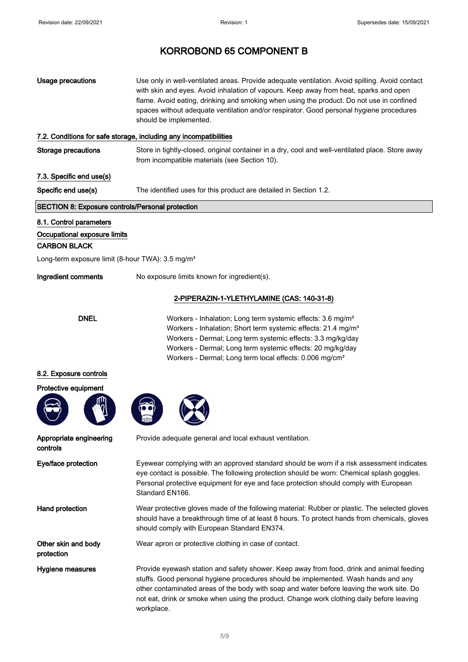| <b>Usage precautions</b>                                                                                                                       | Use only in well-ventilated areas. Provide adequate ventilation. Avoid spilling. Avoid contact<br>with skin and eyes. Avoid inhalation of vapours. Keep away from heat, sparks and open<br>flame. Avoid eating, drinking and smoking when using the product. Do not use in confined<br>spaces without adequate ventilation and/or respirator. Good personal hygiene procedures<br>should be implemented. |
|------------------------------------------------------------------------------------------------------------------------------------------------|----------------------------------------------------------------------------------------------------------------------------------------------------------------------------------------------------------------------------------------------------------------------------------------------------------------------------------------------------------------------------------------------------------|
|                                                                                                                                                | 7.2. Conditions for safe storage, including any incompatibilities                                                                                                                                                                                                                                                                                                                                        |
| <b>Storage precautions</b>                                                                                                                     | Store in tightly-closed, original container in a dry, cool and well-ventilated place. Store away<br>from incompatible materials (see Section 10).                                                                                                                                                                                                                                                        |
| 7.3. Specific end use(s)                                                                                                                       |                                                                                                                                                                                                                                                                                                                                                                                                          |
| Specific end use(s)                                                                                                                            | The identified uses for this product are detailed in Section 1.2.                                                                                                                                                                                                                                                                                                                                        |
| <b>SECTION 8: Exposure controls/Personal protection</b>                                                                                        |                                                                                                                                                                                                                                                                                                                                                                                                          |
| 8.1. Control parameters<br>Occupational exposure limits<br><b>CARBON BLACK</b><br>Long-term exposure limit (8-hour TWA): 3.5 mg/m <sup>3</sup> |                                                                                                                                                                                                                                                                                                                                                                                                          |
| Ingredient comments                                                                                                                            | No exposure limits known for ingredient(s).                                                                                                                                                                                                                                                                                                                                                              |
|                                                                                                                                                | 2-PIPERAZIN-1-YLETHYLAMINE (CAS: 140-31-8)                                                                                                                                                                                                                                                                                                                                                               |
| <b>DNEL</b>                                                                                                                                    | Workers - Inhalation; Long term systemic effects: 3.6 mg/m <sup>3</sup><br>Workers - Inhalation; Short term systemic effects: 21.4 mg/m <sup>3</sup><br>Workers - Dermal; Long term systemic effects: 3.3 mg/kg/day<br>Workers - Dermal; Long term systemic effects: 20 mg/kg/day<br>Workers - Dermal; Long term local effects: 0.006 mg/cm <sup>2</sup>                                                 |
| 8.2. Exposure controls                                                                                                                         |                                                                                                                                                                                                                                                                                                                                                                                                          |
| Protective equipment                                                                                                                           |                                                                                                                                                                                                                                                                                                                                                                                                          |
|                                                                                                                                                |                                                                                                                                                                                                                                                                                                                                                                                                          |
| Appropriate engineering<br>controls                                                                                                            | Provide adequate general and local exhaust ventilation.                                                                                                                                                                                                                                                                                                                                                  |
| Eye/face protection                                                                                                                            | Eyewear complying with an approved standard should be worn if a risk assessment indicates<br>eye contact is possible. The following protection should be worn: Chemical splash goggles.<br>Personal protective equipment for eye and face protection should comply with European<br>Standard EN166.                                                                                                      |
| Hand protection                                                                                                                                | Wear protective gloves made of the following material: Rubber or plastic. The selected gloves<br>should have a breakthrough time of at least 8 hours. To protect hands from chemicals, gloves<br>should comply with European Standard EN374.                                                                                                                                                             |
| Other skin and body<br>protection                                                                                                              | Wear apron or protective clothing in case of contact.                                                                                                                                                                                                                                                                                                                                                    |
| Hygiene measures                                                                                                                               | Provide eyewash station and safety shower. Keep away from food, drink and animal feeding<br>stuffs. Good personal hygiene procedures should be implemented. Wash hands and any<br>other contaminated areas of the body with soap and water before leaving the work site. Do                                                                                                                              |

workplace.

not eat, drink or smoke when using the product. Change work clothing daily before leaving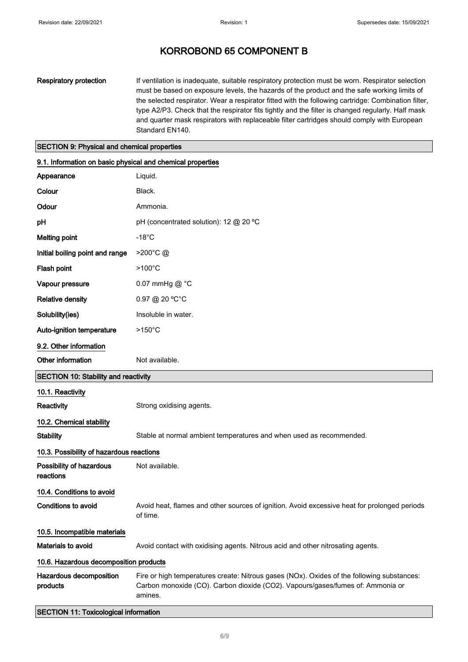Respiratory protection If ventilation is inadequate, suitable respiratory protection must be worn. Respirator selection must be based on exposure levels, the hazards of the product and the safe working limits of the selected respirator. Wear a respirator fitted with the following cartridge: Combination filter, type A2/P3. Check that the respirator fits tightly and the filter is changed regularly. Half mask and quarter mask respirators with replaceable filter cartridges should comply with European Standard EN140.

#### SECTION 9: Physical and chemical properties

| 9.1. Information on basic physical and chemical properties |                                                                                                                                                                                         |
|------------------------------------------------------------|-----------------------------------------------------------------------------------------------------------------------------------------------------------------------------------------|
| Appearance                                                 | Liquid.                                                                                                                                                                                 |
| Colour                                                     | Black.                                                                                                                                                                                  |
| Odour                                                      | Ammonia.                                                                                                                                                                                |
| pH                                                         | pH (concentrated solution): 12 @ 20 °C                                                                                                                                                  |
| <b>Melting point</b>                                       | $-18^{\circ}$ C                                                                                                                                                                         |
| Initial boiling point and range                            | $>200^{\circ}$ C @                                                                                                                                                                      |
| Flash point                                                | $>100^{\circ}$ C                                                                                                                                                                        |
| Vapour pressure                                            | 0.07 mmHg @ °C                                                                                                                                                                          |
| <b>Relative density</b>                                    | 0.97 @ 20 °C°C                                                                                                                                                                          |
| Solubility(ies)                                            | Insoluble in water.                                                                                                                                                                     |
| Auto-ignition temperature                                  | $>150^{\circ}$ C                                                                                                                                                                        |
| 9.2. Other information                                     |                                                                                                                                                                                         |
| Other information                                          | Not available.                                                                                                                                                                          |
| <b>SECTION 10: Stability and reactivity</b>                |                                                                                                                                                                                         |
| 10.1. Reactivity                                           |                                                                                                                                                                                         |
| Reactivity                                                 | Strong oxidising agents.                                                                                                                                                                |
| 10.2. Chemical stability                                   |                                                                                                                                                                                         |
| <b>Stability</b>                                           | Stable at normal ambient temperatures and when used as recommended.                                                                                                                     |
| 10.3. Possibility of hazardous reactions                   |                                                                                                                                                                                         |
| Possibility of hazardous<br>reactions                      | Not available.                                                                                                                                                                          |
| 10.4. Conditions to avoid                                  |                                                                                                                                                                                         |
| Conditions to avoid                                        | Avoid heat, flames and other sources of ignition. Avoid excessive heat for prolonged periods<br>of time.                                                                                |
| 10.5. Incompatible materials                               |                                                                                                                                                                                         |
| Materials to avoid                                         | Avoid contact with oxidising agents. Nitrous acid and other nitrosating agents.                                                                                                         |
| 10.6. Hazardous decomposition products                     |                                                                                                                                                                                         |
| Hazardous decomposition<br>products                        | Fire or high temperatures create: Nitrous gases (NOx). Oxides of the following substances:<br>Carbon monoxide (CO). Carbon dioxide (CO2). Vapours/gases/fumes of: Ammonia or<br>amines. |
| <b>SECTION 11: Toxicological information</b>               |                                                                                                                                                                                         |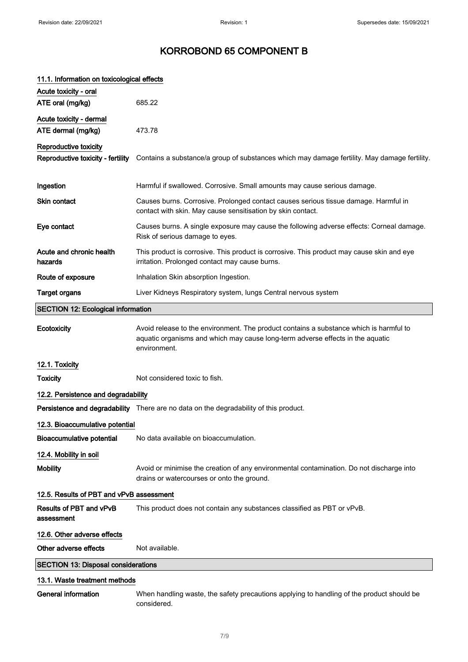| 11.1. Information on toxicological effects |                                                                                                                                                                                          |  |
|--------------------------------------------|------------------------------------------------------------------------------------------------------------------------------------------------------------------------------------------|--|
| Acute toxicity - oral                      |                                                                                                                                                                                          |  |
| ATE oral (mg/kg)                           | 685.22                                                                                                                                                                                   |  |
| Acute toxicity - dermal                    |                                                                                                                                                                                          |  |
| ATE dermal (mg/kg)                         | 473.78                                                                                                                                                                                   |  |
| Reproductive toxicity                      |                                                                                                                                                                                          |  |
| Reproductive toxicity - fertility          | Contains a substance/a group of substances which may damage fertility. May damage fertility.                                                                                             |  |
| Ingestion                                  | Harmful if swallowed. Corrosive. Small amounts may cause serious damage.                                                                                                                 |  |
| <b>Skin contact</b>                        | Causes burns. Corrosive. Prolonged contact causes serious tissue damage. Harmful in<br>contact with skin. May cause sensitisation by skin contact.                                       |  |
| Eye contact                                | Causes burns. A single exposure may cause the following adverse effects: Corneal damage.<br>Risk of serious damage to eyes.                                                              |  |
| Acute and chronic health<br>hazards        | This product is corrosive. This product is corrosive. This product may cause skin and eye<br>irritation. Prolonged contact may cause burns.                                              |  |
| Route of exposure                          | Inhalation Skin absorption Ingestion.                                                                                                                                                    |  |
| <b>Target organs</b>                       | Liver Kidneys Respiratory system, lungs Central nervous system                                                                                                                           |  |
| <b>SECTION 12: Ecological information</b>  |                                                                                                                                                                                          |  |
| Ecotoxicity                                | Avoid release to the environment. The product contains a substance which is harmful to<br>aquatic organisms and which may cause long-term adverse effects in the aquatic<br>environment. |  |
| 12.1. Toxicity                             |                                                                                                                                                                                          |  |
| <b>Toxicity</b>                            | Not considered toxic to fish.                                                                                                                                                            |  |
| 12.2. Persistence and degradability        |                                                                                                                                                                                          |  |
|                                            | Persistence and degradability There are no data on the degradability of this product.                                                                                                    |  |
| 12.3. Bioaccumulative potential            |                                                                                                                                                                                          |  |
| Bioaccumulative potential                  | No data available on bioaccumulation.                                                                                                                                                    |  |
| 12.4. Mobility in soil                     |                                                                                                                                                                                          |  |
| <b>Mobility</b>                            | Avoid or minimise the creation of any environmental contamination. Do not discharge into<br>drains or watercourses or onto the ground.                                                   |  |
| 12.5. Results of PBT and vPvB assessment   |                                                                                                                                                                                          |  |
| Results of PBT and vPvB<br>assessment      | This product does not contain any substances classified as PBT or vPvB.                                                                                                                  |  |
| 12.6. Other adverse effects                |                                                                                                                                                                                          |  |
| Other adverse effects                      | Not available.                                                                                                                                                                           |  |
| <b>SECTION 13: Disposal considerations</b> |                                                                                                                                                                                          |  |
| 13.1. Waste treatment methods              |                                                                                                                                                                                          |  |
| <b>General information</b>                 | When handling waste, the safety precautions applying to handling of the product should be                                                                                                |  |

considered.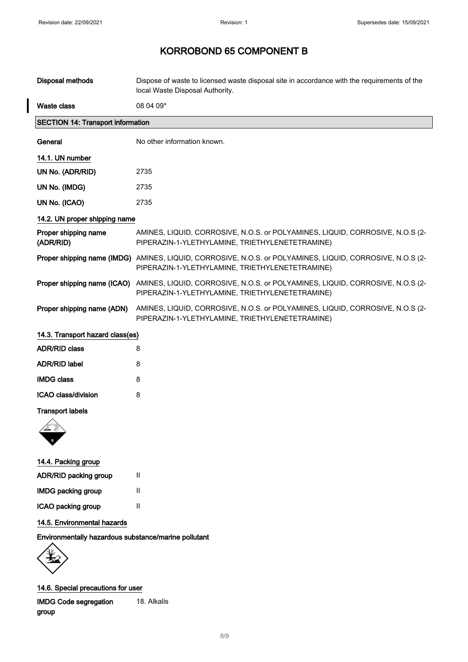I

# KORROBOND 65 COMPONENT B

| <b>Disposal methods</b>                        | Dispose of waste to licensed waste disposal site in accordance with the requirements of the<br>local Waste Disposal Authority.                               |  |
|------------------------------------------------|--------------------------------------------------------------------------------------------------------------------------------------------------------------|--|
| <b>Waste class</b>                             | 08 04 09*                                                                                                                                                    |  |
| <b>SECTION 14: Transport information</b>       |                                                                                                                                                              |  |
| General                                        | No other information known.                                                                                                                                  |  |
| 14.1. UN number                                |                                                                                                                                                              |  |
| UN No. (ADR/RID)                               | 2735                                                                                                                                                         |  |
| UN No. (IMDG)                                  | 2735                                                                                                                                                         |  |
| UN No. (ICAO)                                  | 2735                                                                                                                                                         |  |
| 14.2. UN proper shipping name                  |                                                                                                                                                              |  |
| Proper shipping name<br>(ADR/RID)              | AMINES, LIQUID, CORROSIVE, N.O.S. or POLYAMINES, LIQUID, CORROSIVE, N.O.S (2-<br>PIPERAZIN-1-YLETHYLAMINE, TRIETHYLENETETRAMINE)                             |  |
|                                                | Proper shipping name (IMDG) AMINES, LIQUID, CORROSIVE, N.O.S. or POLYAMINES, LIQUID, CORROSIVE, N.O.S (2-<br>PIPERAZIN-1-YLETHYLAMINE, TRIETHYLENETETRAMINE) |  |
|                                                | Proper shipping name (ICAO) AMINES, LIQUID, CORROSIVE, N.O.S. or POLYAMINES, LIQUID, CORROSIVE, N.O.S (2-<br>PIPERAZIN-1-YLETHYLAMINE, TRIETHYLENETETRAMINE) |  |
| Proper shipping name (ADN)                     | AMINES, LIQUID, CORROSIVE, N.O.S. or POLYAMINES, LIQUID, CORROSIVE, N.O.S (2-<br>PIPERAZIN-1-YLETHYLAMINE, TRIETHYLENETETRAMINE)                             |  |
| 14.3. Transport hazard class(es)               |                                                                                                                                                              |  |
| <b>ADR/RID class</b>                           | 8                                                                                                                                                            |  |
| <b>ADR/RID label</b>                           | 8                                                                                                                                                            |  |
| <b>IMDG class</b>                              | 8                                                                                                                                                            |  |
| ICAO class/division                            | 8                                                                                                                                                            |  |
| <b>Transport labels</b><br>14.4. Packing group |                                                                                                                                                              |  |

| ADR/RID packing group     | н |
|---------------------------|---|
| <b>IMDG packing group</b> | Ш |
| ICAO packing group        | Ш |

#### 14.5. Environmental hazards

Environmentally hazardous substance/marine pollutant

Ų

14.6. Special precautions for user

IMDG Code segregation group 18. Alkalis